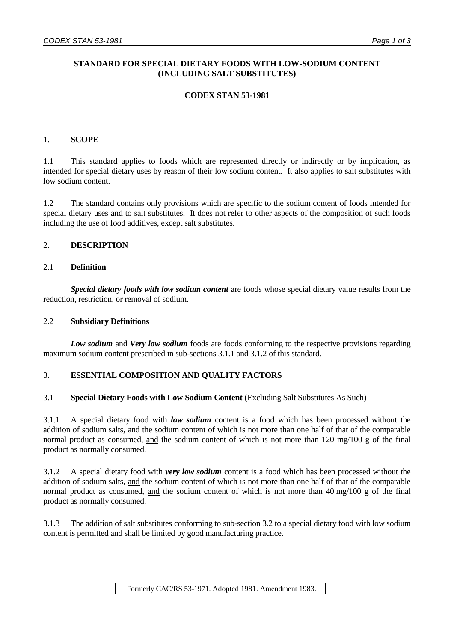# **STANDARD FOR SPECIAL DIETARY FOODS WITH LOW-SODIUM CONTENT (INCLUDING SALT SUBSTITUTES)**

# **CODEX STAN 53-1981**

## 1. **SCOPE**

1.1 This standard applies to foods which are represented directly or indirectly or by implication, as intended for special dietary uses by reason of their low sodium content. It also applies to salt substitutes with low sodium content.

1.2 The standard contains only provisions which are specific to the sodium content of foods intended for special dietary uses and to salt substitutes. It does not refer to other aspects of the composition of such foods including the use of food additives, except salt substitutes.

### 2. **DESCRIPTION**

# 2.1 **Definition**

*Special dietary foods with low sodium content* are foods whose special dietary value results from the reduction, restriction, or removal of sodium.

### 2.2 **Subsidiary Definitions**

*Low sodium* and *Very low sodium* foods are foods conforming to the respective provisions regarding maximum sodium content prescribed in sub-sections 3.1.1 and 3.1.2 of this standard.

### 3. **ESSENTIAL COMPOSITION AND QUALITY FACTORS**

### 3.1 **Special Dietary Foods with Low Sodium Content** (Excluding Salt Substitutes As Such)

3.1.1 A special dietary food with *low sodium* content is a food which has been processed without the addition of sodium salts, and the sodium content of which is not more than one half of that of the comparable normal product as consumed, and the sodium content of which is not more than 120 mg/100 g of the final product as normally consumed.

3.1.2 A special dietary food with *very low sodium* content is a food which has been processed without the addition of sodium salts, and the sodium content of which is not more than one half of that of the comparable normal product as consumed, and the sodium content of which is not more than 40 mg/100 g of the final product as normally consumed.

3.1.3 The addition of salt substitutes conforming to sub-section 3.2 to a special dietary food with low sodium content is permitted and shall be limited by good manufacturing practice.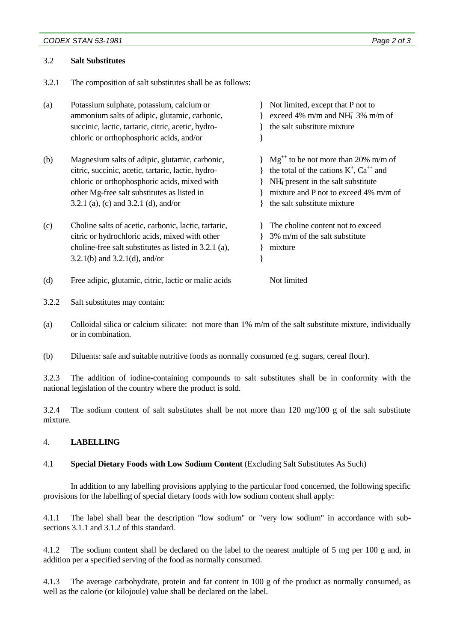#### *CODEX STAN 53-1981 Page 2 of 3*

#### 3.2 **Salt Substitutes**

3.2.1 The composition of salt substitutes shall be as follows:

| (a) | Potassium sulphate, potassium, calcium or<br>ammonium salts of adipic, glutamic, carbonic,<br>succinic, lactic, tartaric, citric, acetic, hydro-<br>chloric or orthophosphoric acids, and/or | Not limited, except that P not to<br>exceed 4% m/m and NH $^{+}$ 3% m/m of<br>the salt substitute mixture |
|-----|----------------------------------------------------------------------------------------------------------------------------------------------------------------------------------------------|-----------------------------------------------------------------------------------------------------------|
| (b) | Magnesium salts of adipic, glutamic, carbonic,                                                                                                                                               | $Mg^{++}$ to be not more than 20% m/m of                                                                  |
|     | citric, succinic, acetic, tartaric, lactic, hydro-                                                                                                                                           | the total of the cations $K^+$ , $Ca^{++}$ and                                                            |
|     | chloric or orthophosphoric acids, mixed with                                                                                                                                                 | $NH4$ present in the salt substitute                                                                      |
|     | other Mg-free salt substitutes as listed in                                                                                                                                                  | mixture and P not to exceed 4% m/m of                                                                     |
|     | 3.2.1 (a), (c) and 3.2.1 (d), and/or                                                                                                                                                         | the salt substitute mixture                                                                               |
| (c) | Choline salts of acetic, carbonic, lactic, tartaric,                                                                                                                                         | The choline content not to exceed                                                                         |
|     | citric or hydrochloric acids, mixed with other                                                                                                                                               | 3% m/m of the salt substitute                                                                             |
|     | choline-free salt substitutes as listed in 3.2.1 (a),                                                                                                                                        | mixture                                                                                                   |
|     | 3.2.1(b) and 3.2.1(d), and/or                                                                                                                                                                |                                                                                                           |
| (d) | Free adipic, glutamic, citric, lactic or malic acids                                                                                                                                         | Not limited                                                                                               |

- 3.2.2 Salt substitutes may contain:
- (a) Colloidal silica or calcium silicate: not more than 1% m/m of the salt substitute mixture, individually or in combination.
- (b) Diluents: safe and suitable nutritive foods as normally consumed (e.g. sugars, cereal flour).

3.2.3 The addition of iodine-containing compounds to salt substitutes shall be in conformity with the national legislation of the country where the product is sold.

3.2.4 The sodium content of salt substitutes shall be not more than 120 mg/100 g of the salt substitute mixture.

### 4. **LABELLING**

### 4.1 **Special Dietary Foods with Low Sodium Content** (Excluding Salt Substitutes As Such)

In addition to any labelling provisions applying to the particular food concerned, the following specific provisions for the labelling of special dietary foods with low sodium content shall apply:

4.1.1 The label shall bear the description "low sodium" or "very low sodium" in accordance with subsections 3.1.1 and 3.1.2 of this standard.

4.1.2 The sodium content shall be declared on the label to the nearest multiple of 5 mg per 100 g and, in addition per a specified serving of the food as normally consumed.

4.1.3 The average carbohydrate, protein and fat content in 100 g of the product as normally consumed, as well as the calorie (or kilojoule) value shall be declared on the label.